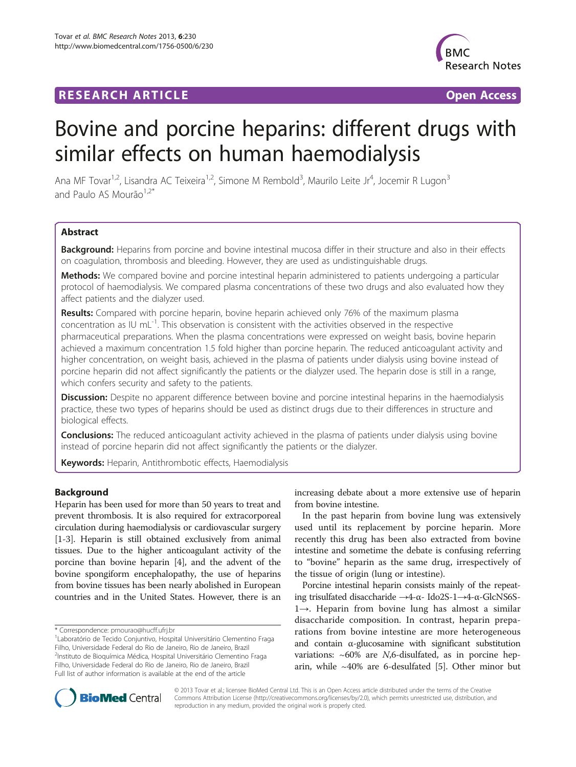## **RESEARCH ARTICLE Example 2018 12:00 Department of the COVID-TIGGS 2019 12:00 Open Access**



# Bovine and porcine heparins: different drugs with similar effects on human haemodialysis

Ana MF Tovar<sup>1,2</sup>, Lisandra AC Teixeira<sup>1,2</sup>, Simone M Rembold<sup>3</sup>, Maurilo Leite Jr<sup>4</sup>, Jocemir R Lugon<sup>3</sup> and Paulo AS Mourão $1.2^*$ 

## **Abstract**

Background: Heparins from porcine and bovine intestinal mucosa differ in their structure and also in their effects on coagulation, thrombosis and bleeding. However, they are used as undistinguishable drugs.

Methods: We compared bovine and porcine intestinal heparin administered to patients undergoing a particular protocol of haemodialysis. We compared plasma concentrations of these two drugs and also evaluated how they affect patients and the dialyzer used.

Results: Compared with porcine heparin, bovine heparin achieved only 76% of the maximum plasma concentration as  $IU$  mL<sup>-1</sup>. This observation is consistent with the activities observed in the respective pharmaceutical preparations. When the plasma concentrations were expressed on weight basis, bovine heparin achieved a maximum concentration 1.5 fold higher than porcine heparin. The reduced anticoagulant activity and higher concentration, on weight basis, achieved in the plasma of patients under dialysis using bovine instead of porcine heparin did not affect significantly the patients or the dialyzer used. The heparin dose is still in a range, which confers security and safety to the patients.

Discussion: Despite no apparent difference between bovine and porcine intestinal heparins in the haemodialysis practice, these two types of heparins should be used as distinct drugs due to their differences in structure and biological effects.

**Conclusions:** The reduced anticoagulant activity achieved in the plasma of patients under dialysis using bovine instead of porcine heparin did not affect significantly the patients or the dialyzer.

Keywords: Heparin, Antithrombotic effects, Haemodialysis

## Background

Heparin has been used for more than 50 years to treat and prevent thrombosis. It is also required for extracorporeal circulation during haemodialysis or cardiovascular surgery [[1-3\]](#page-7-0). Heparin is still obtained exclusively from animal tissues. Due to the higher anticoagulant activity of the porcine than bovine heparin [\[4](#page-7-0)], and the advent of the bovine spongiform encephalopathy, the use of heparins from bovine tissues has been nearly abolished in European countries and in the United States. However, there is an increasing debate about a more extensive use of heparin from bovine intestine.

In the past heparin from bovine lung was extensively used until its replacement by porcine heparin. More recently this drug has been also extracted from bovine intestine and sometime the debate is confusing referring to "bovine" heparin as the same drug, irrespectively of the tissue of origin (lung or intestine).

Porcine intestinal heparin consists mainly of the repeating trisulfated disaccharide →4-α- Ido2S-1→4-α-GlcNS6S-1→. Heparin from bovine lung has almost a similar disaccharide composition. In contrast, heparin preparations from bovine intestine are more heterogeneous and contain  $\alpha$ -glucosamine with significant substitution variations:  $~60\%$  are N,6-disulfated, as in porcine heparin, while  $~10\%$  are 6-desulfated [\[5](#page-7-0)]. Other minor but



© 2013 Tovar et al.; licensee BioMed Central Ltd. This is an Open Access article distributed under the terms of the Creative Commons Attribution License [\(http://creativecommons.org/licenses/by/2.0\)](http://creativecommons.org/licenses/by/2.0), which permits unrestricted use, distribution, and reproduction in any medium, provided the original work is properly cited.

<sup>\*</sup> Correspondence: [pmourao@hucff.ufrj.br](mailto:pmourao@hucff.ufrj.br) <sup>1</sup>

Laboratório de Tecido Conjuntivo, Hospital Universitário Clementino Fraga Filho, Universidade Federal do Rio de Janeiro, Rio de Janeiro, Brazil <sup>2</sup>Instituto de Bioquímica Médica, Hospital Universitário Clementino Fraga Filho, Universidade Federal do Rio de Janeiro, Rio de Janeiro, Brazil Full list of author information is available at the end of the article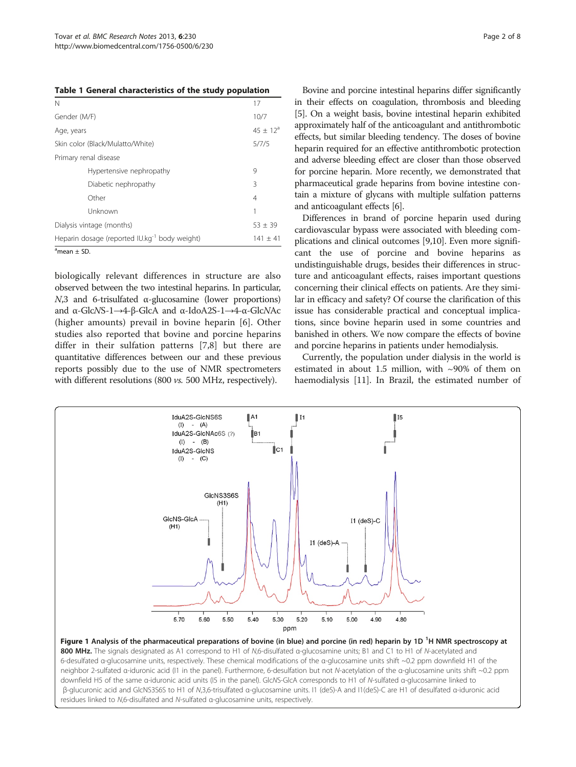<span id="page-1-0"></span>

|  | Table 1 General characteristics of the study population |  |  |  |
|--|---------------------------------------------------------|--|--|--|
|--|---------------------------------------------------------|--|--|--|

| N                                                         | 17          |  |
|-----------------------------------------------------------|-------------|--|
| Gender (M/F)                                              | 10/7        |  |
| Age, years                                                | $45 + 12a$  |  |
| Skin color (Black/Mulatto/White)                          | 5/7/5       |  |
| Primary renal disease                                     |             |  |
| Hypertensive nephropathy                                  | 9           |  |
| Diabetic nephropathy                                      | 3           |  |
| Other                                                     | 4           |  |
| Unknown                                                   | 1           |  |
| Dialysis vintage (months)                                 | $53 \pm 39$ |  |
| Heparin dosage (reported IU.kg <sup>-1</sup> body weight) |             |  |

 $a$ <sub>mean</sub>  $\pm$  SD.

biologically relevant differences in structure are also observed between the two intestinal heparins. In particular, N,3 and 6-trisulfated α-glucosamine (lower proportions) and α-GlcNS-1→4-β-GlcA and α-IdoA2S-1→4-α-GlcNAc (higher amounts) prevail in bovine heparin [[6](#page-7-0)]. Other studies also reported that bovine and porcine heparins differ in their sulfation patterns [\[7](#page-7-0),[8\]](#page-7-0) but there are quantitative differences between our and these previous reports possibly due to the use of NMR spectrometers with different resolutions (800 vs. 500 MHz, respectively).

Bovine and porcine intestinal heparins differ significantly in their effects on coagulation, thrombosis and bleeding [[5](#page-7-0)]. On a weight basis, bovine intestinal heparin exhibited approximately half of the anticoagulant and antithrombotic effects, but similar bleeding tendency. The doses of bovine heparin required for an effective antithrombotic protection and adverse bleeding effect are closer than those observed for porcine heparin. More recently, we demonstrated that pharmaceutical grade heparins from bovine intestine contain a mixture of glycans with multiple sulfation patterns and anticoagulant effects [\[6](#page-7-0)].

Differences in brand of porcine heparin used during cardiovascular bypass were associated with bleeding complications and clinical outcomes [\[9,10\]](#page-7-0). Even more significant the use of porcine and bovine heparins as undistinguishable drugs, besides their differences in structure and anticoagulant effects, raises important questions concerning their clinical effects on patients. Are they similar in efficacy and safety? Of course the clarification of this issue has considerable practical and conceptual implications, since bovine heparin used in some countries and banished in others. We now compare the effects of bovine and porcine heparins in patients under hemodialysis.

Currently, the population under dialysis in the world is estimated in about 1.5 million, with ~90% of them on haemodialysis [\[11\]](#page-7-0). In Brazil, the estimated number of



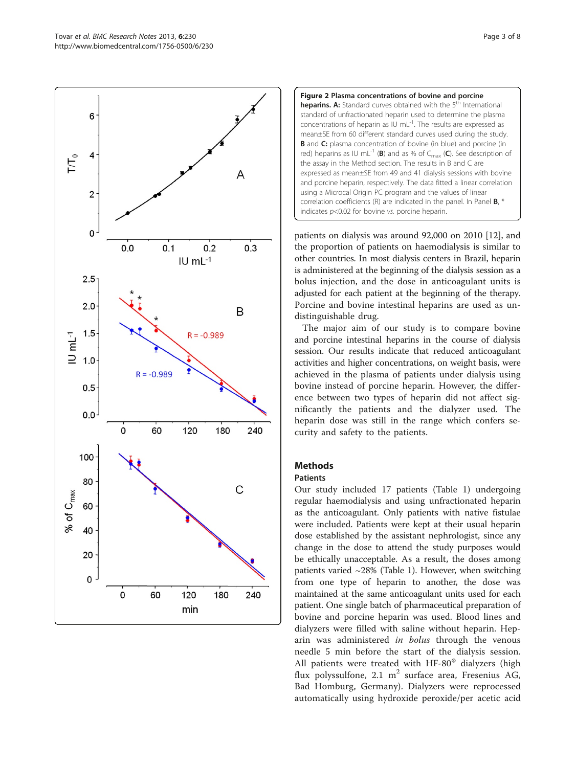<span id="page-2-0"></span>



patients on dialysis was around 92,000 on 2010 [\[12](#page-7-0)], and the proportion of patients on haemodialysis is similar to other countries. In most dialysis centers in Brazil, heparin is administered at the beginning of the dialysis session as a bolus injection, and the dose in anticoagulant units is adjusted for each patient at the beginning of the therapy. Porcine and bovine intestinal heparins are used as undistinguishable drug.

The major aim of our study is to compare bovine and porcine intestinal heparins in the course of dialysis session. Our results indicate that reduced anticoagulant activities and higher concentrations, on weight basis, were achieved in the plasma of patients under dialysis using bovine instead of porcine heparin. However, the difference between two types of heparin did not affect significantly the patients and the dialyzer used. The heparin dose was still in the range which confers security and safety to the patients.

## Methods

## Patients

Our study included 17 patients (Table [1](#page-1-0)) undergoing regular haemodialysis and using unfractionated heparin as the anticoagulant. Only patients with native fistulae were included. Patients were kept at their usual heparin dose established by the assistant nephrologist, since any change in the dose to attend the study purposes would be ethically unacceptable. As a result, the doses among patients varied  $\sim$ 28% (Table [1](#page-1-0)). However, when switching from one type of heparin to another, the dose was maintained at the same anticoagulant units used for each patient. One single batch of pharmaceutical preparation of bovine and porcine heparin was used. Blood lines and dialyzers were filled with saline without heparin. Heparin was administered in bolus through the venous needle 5 min before the start of the dialysis session. All patients were treated with HF-80® dialyzers (high flux polyssulfone, 2.1  $m^2$  surface area, Fresenius AG, Bad Homburg, Germany). Dialyzers were reprocessed automatically using hydroxide peroxide/per acetic acid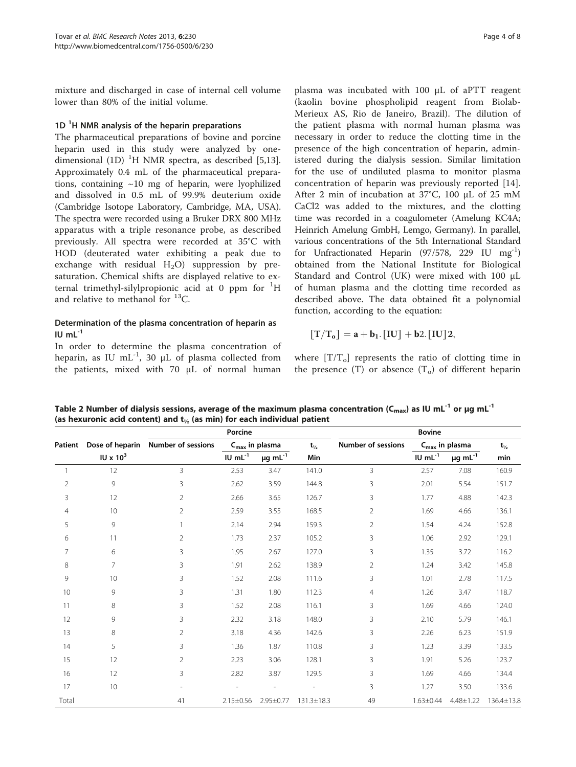<span id="page-3-0"></span>mixture and discharged in case of internal cell volume lower than 80% of the initial volume.

## 1D<sup>1</sup>H NMR analysis of the heparin preparations

The pharmaceutical preparations of bovine and porcine heparin used in this study were analyzed by onedimensional  $(1D)$  <sup>1</sup>H NMR spectra, as described [\[5,13](#page-7-0)]. Approximately 0.4 mL of the pharmaceutical preparations, containing  $~10$  mg of heparin, were lyophilized and dissolved in 0.5 mL of 99.9% deuterium oxide (Cambridge Isotope Laboratory, Cambridge, MA, USA). The spectra were recorded using a Bruker DRX 800 MHz apparatus with a triple resonance probe, as described previously. All spectra were recorded at 35°C with HOD (deuterated water exhibiting a peak due to exchange with residual  $H_2O$ ) suppression by presaturation. Chemical shifts are displayed relative to external trimethyl-silylpropionic acid at 0 ppm for <sup>1</sup>H and relative to methanol for  $^{13}$ C.

## Determination of the plasma concentration of heparin as  $IU$  mL $^{-1}$

In order to determine the plasma concentration of heparin, as IU mL<sup>-1</sup>, 30  $\mu$ L of plasma collected from the patients, mixed with 70 μL of normal human where  $[T/T<sub>o</sub>]$  represents the ratio of clotting time in

Table 2 Number of dialysis sessions, average of the maximum plasma concentration (C<sub>max</sub>) as IU mL<sup>-1</sup> or  $\mu$ g mL<sup>-1</sup> (as hexuronic acid content) and  $t_{1/2}$  (as min) for each individual patient

|                |                 | Porcine            |                 | <b>Bovine</b>              |                   |                           |                 |                            |                   |
|----------------|-----------------|--------------------|-----------------|----------------------------|-------------------|---------------------------|-----------------|----------------------------|-------------------|
| Patient        | Dose of heparin | Number of sessions |                 | $C_{\text{max}}$ in plasma | $t_{\frac{1}{2}}$ | <b>Number of sessions</b> |                 | $C_{\text{max}}$ in plasma | $t_{\frac{1}{2}}$ |
|                | IU x $10^3$     |                    | $IU$ $mL^{-1}$  | $\mu$ g mL $^{-1}$         | Min               |                           | $IU$ mL $^{-1}$ | $\mu$ g mL $^{-1}$         | min               |
| $\mathbf{1}$   | 12              | 3                  | 2.53            | 3.47                       | 141.0             | 3                         | 2.57            | 7.08                       | 160.9             |
| $\overline{2}$ | 9               | 3                  | 2.62            | 3.59                       | 144.8             | 3                         | 2.01            | 5.54                       | 151.7             |
| 3              | 12              | $\overline{2}$     | 2.66            | 3.65                       | 126.7             | 3                         | 1.77            | 4.88                       | 142.3             |
| $\overline{4}$ | 10              | $\overline{2}$     | 2.59            | 3.55                       | 168.5             | $\overline{2}$            | 1.69            | 4.66                       | 136.1             |
| 5              | 9               |                    | 2.14            | 2.94                       | 159.3             | 2                         | 1.54            | 4.24                       | 152.8             |
| 6              | 11              | $\overline{2}$     | 1.73            | 2.37                       | 105.2             | 3                         | 1.06            | 2.92                       | 129.1             |
| 7              | 6               | 3                  | 1.95            | 2.67                       | 127.0             | 3                         | 1.35            | 3.72                       | 116.2             |
| 8              | $\overline{7}$  | 3                  | 1.91            | 2.62                       | 138.9             | $\overline{2}$            | 1.24            | 3.42                       | 145.8             |
| 9              | 10              | 3                  | 1.52            | 2.08                       | 111.6             | 3                         | 1.01            | 2.78                       | 117.5             |
| 10             | 9               | 3                  | 1.31            | 1.80                       | 112.3             | $\overline{4}$            | 1.26            | 3.47                       | 118.7             |
| 11             | 8               | 3                  | 1.52            | 2.08                       | 116.1             | 3                         | 1.69            | 4.66                       | 124.0             |
| 12             | 9               | 3                  | 2.32            | 3.18                       | 148.0             | 3                         | 2.10            | 5.79                       | 146.1             |
| 13             | 8               | $\overline{2}$     | 3.18            | 4.36                       | 142.6             | 3                         | 2.26            | 6.23                       | 151.9             |
| 14             | 5               | 3                  | 1.36            | 1.87                       | 110.8             | 3                         | 1.23            | 3.39                       | 133.5             |
| 15             | 12              | $\overline{2}$     | 2.23            | 3.06                       | 128.1             | 3                         | 1.91            | 5.26                       | 123.7             |
| 16             | 12              | 3                  | 2.82            | 3.87                       | 129.5             | 3                         | 1.69            | 4.66                       | 134.4             |
| 17             | 10              |                    |                 |                            |                   | 3                         | 1.27            | 3.50                       | 133.6             |
| Total          |                 | 41                 | $2.15 \pm 0.56$ | 2.95±0.77                  | $131.3 \pm 18.3$  | 49                        | $1.63 \pm 0.44$ | $4.48 \pm 1.22$            | 136.4±13.8        |

plasma was incubated with 100 μL of aPTT reagent (kaolin bovine phospholipid reagent from Biolab-Merieux AS, Rio de Janeiro, Brazil). The dilution of the patient plasma with normal human plasma was necessary in order to reduce the clotting time in the presence of the high concentration of heparin, administered during the dialysis session. Similar limitation for the use of undiluted plasma to monitor plasma concentration of heparin was previously reported [\[14](#page-7-0)]. After 2 min of incubation at 37°C, 100 μL of 25 mM CaCl2 was added to the mixtures, and the clotting time was recorded in a coagulometer (Amelung KC4A; Heinrich Amelung GmbH, Lemgo, Germany). In parallel, various concentrations of the 5th International Standard for Unfractionated Heparin (97/578, 229 IU mg<sup>-1</sup>) obtained from the National Institute for Biological Standard and Control (UK) were mixed with 100 μL of human plasma and the clotting time recorded as described above. The data obtained fit a polynomial function, according to the equation:

$$
\big[T/T_o\big]=a+b_1.\big[IU\big]+b2.\big[IU\big]2,
$$

the presence  $(T)$  or absence  $(T_0)$  of different heparin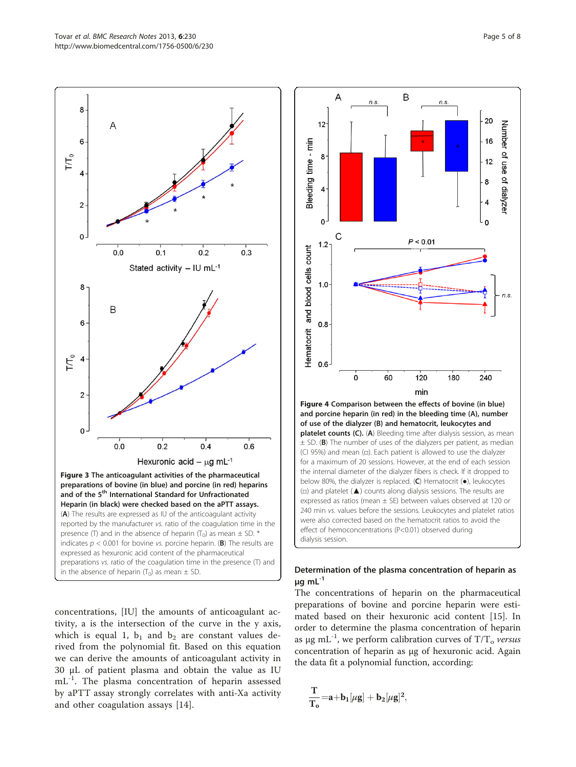concentrations, [IU] the amounts of anticoagulant activity, a is the intersection of the curve in the y axis, which is equal 1,  $b_1$  and  $b_2$  are constant values derived from the polynomial fit. Based on this equation we can derive the amounts of anticoagulant activity in 30 μL of patient plasma and obtain the value as IU mL<sup>-1</sup>. The plasma concentration of heparin assessed by aPTT assay strongly correlates with anti-Xa activity and other coagulation assays [\[14](#page-7-0)].

0 60 120 180 240 min Figure 4 Comparison between the effects of bovine (in blue) and porcine heparin (in red) in the bleeding time (A), number of use of the dialyzer (B) and hematocrit, leukocytes and platelet counts (C). (A) Bleeding time after dialysis session, as mean  $\pm$  SD. (B) The number of uses of the dialyzers per patient, as median (CI 95%) and mean (□). Each patient is allowed to use the dialyzer for a maximum of 20 sessions. However, at the end of each session the internal diameter of the dialyzer fibers is check. If it dropped to below 80%, the dialyzer is replaced. (C) Hematocrit (●), leukocytes (□) and platelet (▲) counts along dialysis sessions. The results are expressed as ratios (mean ± SE) between values observed at 120 or 240 min vs. values before the sessions. Leukocytes and platelet ratios were also corrected based on the hematocrit ratios to avoid the effect of hemoconcentrations (P<0.01) observed during dialysis session.

A

 $12<sup>°</sup>$ 

 $\mathbf{R}$ 

 $\overline{4}$ 

 $\Omega$ 

 $1.2$ 

 $1.0$ 

 $0.8$ 

 $0.6$ 

C

time - min

Bleeding

and blood cells count

Hematocrit

B

 $P < 0.01$ 

## Determination of the plasma concentration of heparin as μg m $L^{-1}$

The concentrations of heparin on the pharmaceutical preparations of bovine and porcine heparin were estimated based on their hexuronic acid content [[15\]](#page-7-0). In order to determine the plasma concentration of heparin as  $\mu$ g mL<sup>-1</sup>, we perform calibration curves of T/T<sub>o</sub> versus concentration of heparin as μg of hexuronic acid. Again the data fit a polynomial function, according:

$$
\frac{T}{T_o} = a + b_1[\mu g] + b_2[\mu g]^2,
$$

<span id="page-4-0"></span>

20

 $16$ 

 $12$ 

8

 $\overline{\mathbf{4}}$ 

Number

of use

of dialyze

 $n<sub>s</sub>$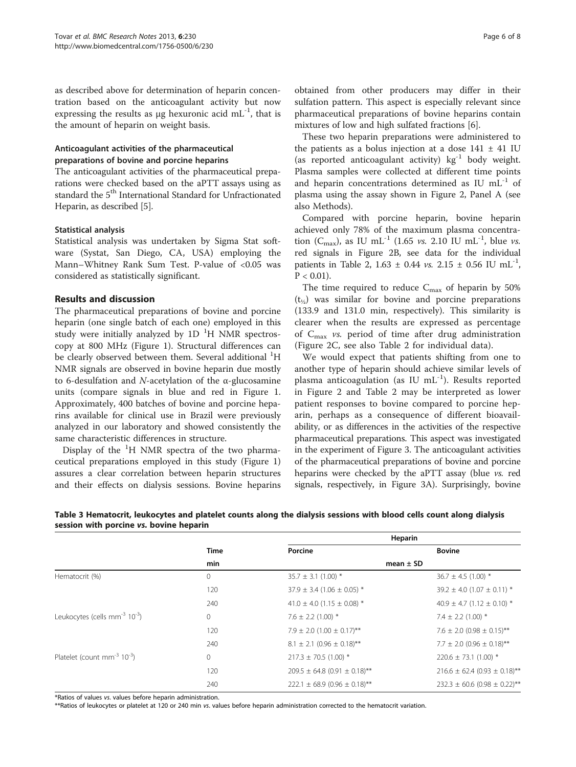<span id="page-5-0"></span>as described above for determination of heparin concentration based on the anticoagulant activity but now expressing the results as  $\mu$ g hexuronic acid mL<sup>-1</sup>, that is the amount of heparin on weight basis.

## Anticoagulant activities of the pharmaceutical preparations of bovine and porcine heparins

The anticoagulant activities of the pharmaceutical preparations were checked based on the aPTT assays using as standard the 5<sup>th</sup> International Standard for Unfractionated Heparin, as described [\[5](#page-7-0)].

## Statistical analysis

Statistical analysis was undertaken by Sigma Stat software (Systat, San Diego, CA, USA) employing the Mann–Whitney Rank Sum Test. P-value of <0.05 was considered as statistically significant.

## Results and discussion

The pharmaceutical preparations of bovine and porcine heparin (one single batch of each one) employed in this study were initially analyzed by  $1D<sup>-1</sup>H NMR$  spectroscopy at 800 MHz (Figure [1\)](#page-1-0). Structural differences can be clearly observed between them. Several additional <sup>1</sup>H NMR signals are observed in bovine heparin due mostly to 6-desulfation and N-acetylation of the α-glucosamine units (compare signals in blue and red in Figure [1](#page-1-0). Approximately, 400 batches of bovine and porcine heparins available for clinical use in Brazil were previously analyzed in our laboratory and showed consistently the same characteristic differences in structure.

Display of the <sup>1</sup>H NMR spectra of the two pharmaceutical preparations employed in this study (Figure [1](#page-1-0)) assures a clear correlation between heparin structures and their effects on dialysis sessions. Bovine heparins obtained from other producers may differ in their sulfation pattern. This aspect is especially relevant since pharmaceutical preparations of bovine heparins contain mixtures of low and high sulfated fractions [[6\]](#page-7-0).

These two heparin preparations were administered to the patients as a bolus injection at a dose  $141 \pm 41$  IU (as reported anticoagulant activity)  $kg^{-1}$  body weight. Plasma samples were collected at different time points and heparin concentrations determined as IU  $mL^{-1}$  of plasma using the assay shown in Figure [2](#page-2-0), Panel A (see also [Methods\)](#page-2-0).

Compared with porcine heparin, bovine heparin achieved only 78% of the maximum plasma concentration (C<sub>max</sub>), as IU mL<sup>-1</sup> (1.65 *vs.* 2.10 IU mL<sup>-1</sup>, blue *vs.* red signals in Figure [2](#page-2-0)B, see data for the individual patients in Table [2](#page-3-0), 1.63  $\pm$  0.44 *vs.* 2.15  $\pm$  0.56 IU mL<sup>-1</sup>,  $P < 0.01$ ).

The time required to reduce  $C_{\text{max}}$  of heparin by 50%  $(t<sub>1/2</sub>)$  was similar for bovine and porcine preparations (133.9 and 131.0 min, respectively). This similarity is clearer when the results are expressed as percentage of  $C_{\text{max}}$  vs. period of time after drug administration (Figure [2C](#page-2-0), see also Table [2](#page-3-0) for individual data).

We would expect that patients shifting from one to another type of heparin should achieve similar levels of plasma anticoagulation (as IU  $mL^{-1}$ ). Results reported in Figure [2](#page-2-0) and Table [2](#page-3-0) may be interpreted as lower patient responses to bovine compared to porcine heparin, perhaps as a consequence of different bioavailability, or as differences in the activities of the respective pharmaceutical preparations. This aspect was investigated in the experiment of Figure [3](#page-4-0). The anticoagulant activities of the pharmaceutical preparations of bovine and porcine heparins were checked by the aPTT assay (blue vs. red signals, respectively, in Figure [3](#page-4-0)A). Surprisingly, bovine

|                                           | Time         | Heparin                              |                                                  |  |  |
|-------------------------------------------|--------------|--------------------------------------|--------------------------------------------------|--|--|
|                                           |              | Porcine                              | <b>Bovine</b>                                    |  |  |
|                                           | min          |                                      | mean $\pm$ SD                                    |  |  |
| Hematocrit (%)                            | $\mathbf 0$  | $35.7 \pm 3.1$ (1.00) *              | $36.7 \pm 4.5$ (1.00) *                          |  |  |
|                                           | 120          | $37.9 \pm 3.4$ (1.06 $\pm$ 0.05) *   | $39.2 \pm 4.0$ (1.07 $\pm$ 0.11) *               |  |  |
|                                           | 240          | 41.0 $\pm$ 4.0 (1.15 $\pm$ 0.08) *   | $40.9 \pm 4.7$ (1.12 $\pm$ 0.10) *               |  |  |
| Leukocytes (cells mm $^{-3}$ 10 $^{-3}$ ) | $\mathbf 0$  | $7.6 \pm 2.2$ (1.00) *               | 7.4 $\pm$ 2.2 (1.00) *                           |  |  |
|                                           | 120          | $7.9 \pm 2.0$ (1.00 $\pm$ 0.17)**    | $7.6 \pm 2.0$ (0.98 $\pm$ 0.15)**                |  |  |
|                                           | 240          | $8.1 \pm 2.1$ (0.96 $\pm$ 0.18)**    | 7.7 $\pm$ 2.0 (0.96 $\pm$ 0.18)**                |  |  |
| Platelet (count mm $^{-3}$ 10 $^{-3}$ )   | $\mathbf{0}$ | $217.3 \pm 70.5$ (1.00) *            | $220.6 \pm 73.1$ (1.00) *                        |  |  |
|                                           | 120          | $209.5 \pm 64.8$ (0.91 $\pm$ 0.18)** | $216.6 \pm 62.4 (0.93 \pm 0.18)^{**}$            |  |  |
|                                           | 240          | $222.1 \pm 68.9$ (0.96 $\pm$ 0.18)** | $232.3 \pm 60.6$ (0.98 $\pm$ 0.22) <sup>**</sup> |  |  |

Table 3 Hematocrit, leukocytes and platelet counts along the dialysis sessions with blood cells count along dialysis session with porcine vs. bovine heparin

\*Ratios of values vs. values before heparin administration.

\*\*Ratios of leukocytes or platelet at 120 or 240 min vs. values before heparin administration corrected to the hematocrit variation.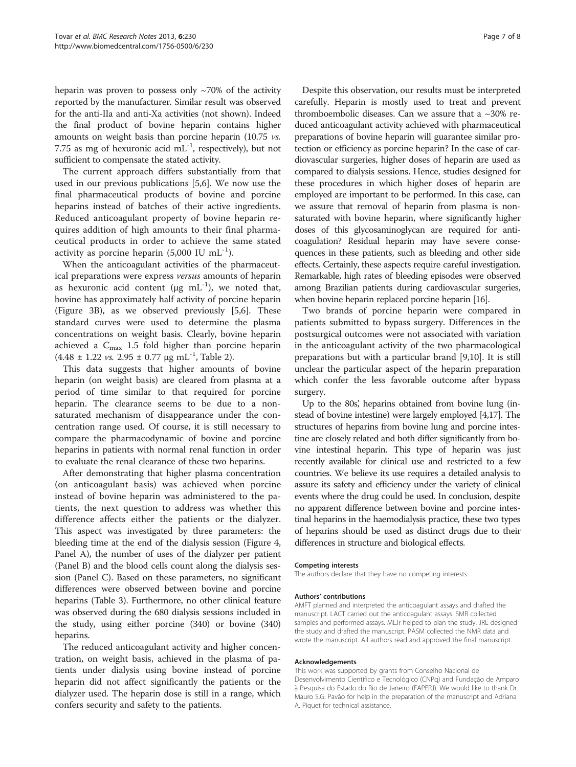heparin was proven to possess only  $\sim$ 70% of the activity reported by the manufacturer. Similar result was observed for the anti-IIa and anti-Xa activities (not shown). Indeed the final product of bovine heparin contains higher amounts on weight basis than porcine heparin (10.75 vs. 7.75 as mg of hexuronic acid  $mL^{-1}$ , respectively), but not sufficient to compensate the stated activity.

The current approach differs substantially from that used in our previous publications [[5,6\]](#page-7-0). We now use the final pharmaceutical products of bovine and porcine heparins instead of batches of their active ingredients. Reduced anticoagulant property of bovine heparin requires addition of high amounts to their final pharmaceutical products in order to achieve the same stated activity as porcine heparin  $(5,000 \text{ IU } mL^{-1})$ .

When the anticoagulant activities of the pharmaceutical preparations were express versus amounts of heparin as hexuronic acid content ( $\mu$ g mL<sup>-1</sup>), we noted that, bovine has approximately half activity of porcine heparin (Figure [3](#page-4-0)B), as we observed previously [\[5,6](#page-7-0)]. These standard curves were used to determine the plasma concentrations on weight basis. Clearly, bovine heparin achieved a  $C_{\text{max}}$  1.5 fold higher than porcine heparin  $(4.48 \pm 1.22 \text{ vs. } 2.95 \pm 0.77 \text{ µg} \text{ mL}^{-1}$  $(4.48 \pm 1.22 \text{ vs. } 2.95 \pm 0.77 \text{ µg} \text{ mL}^{-1}$  $(4.48 \pm 1.22 \text{ vs. } 2.95 \pm 0.77 \text{ µg} \text{ mL}^{-1}$ , Table 2).

This data suggests that higher amounts of bovine heparin (on weight basis) are cleared from plasma at a period of time similar to that required for porcine heparin. The clearance seems to be due to a nonsaturated mechanism of disappearance under the concentration range used. Of course, it is still necessary to compare the pharmacodynamic of bovine and porcine heparins in patients with normal renal function in order to evaluate the renal clearance of these two heparins.

After demonstrating that higher plasma concentration (on anticoagulant basis) was achieved when porcine instead of bovine heparin was administered to the patients, the next question to address was whether this difference affects either the patients or the dialyzer. This aspect was investigated by three parameters: the bleeding time at the end of the dialysis session (Figure [4](#page-4-0), Panel A), the number of uses of the dialyzer per patient (Panel B) and the blood cells count along the dialysis session (Panel C). Based on these parameters, no significant differences were observed between bovine and porcine heparins (Table [3](#page-5-0)). Furthermore, no other clinical feature was observed during the 680 dialysis sessions included in the study, using either porcine (340) or bovine (340) heparins.

The reduced anticoagulant activity and higher concentration, on weight basis, achieved in the plasma of patients under dialysis using bovine instead of porcine heparin did not affect significantly the patients or the dialyzer used. The heparin dose is still in a range, which confers security and safety to the patients.

Despite this observation, our results must be interpreted carefully. Heparin is mostly used to treat and prevent thromboembolic diseases. Can we assure that a  $\sim$ 30% reduced anticoagulant activity achieved with pharmaceutical preparations of bovine heparin will guarantee similar protection or efficiency as porcine heparin? In the case of cardiovascular surgeries, higher doses of heparin are used as compared to dialysis sessions. Hence, studies designed for these procedures in which higher doses of heparin are employed are important to be performed. In this case, can we assure that removal of heparin from plasma is nonsaturated with bovine heparin, where significantly higher doses of this glycosaminoglycan are required for anticoagulation? Residual heparin may have severe consequences in these patients, such as bleeding and other side effects. Certainly, these aspects require careful investigation. Remarkable, high rates of bleeding episodes were observed among Brazilian patients during cardiovascular surgeries, when bovine heparin replaced porcine heparin [\[16\]](#page-7-0).

Two brands of porcine heparin were compared in patients submitted to bypass surgery. Differences in the postsurgical outcomes were not associated with variation in the anticoagulant activity of the two pharmacological preparations but with a particular brand [[9,10\]](#page-7-0). It is still unclear the particular aspect of the heparin preparation which confer the less favorable outcome after bypass surgery.

Up to the 80s', heparins obtained from bovine lung (instead of bovine intestine) were largely employed [\[4,17](#page-7-0)]. The structures of heparins from bovine lung and porcine intestine are closely related and both differ significantly from bovine intestinal heparin. This type of heparin was just recently available for clinical use and restricted to a few countries. We believe its use requires a detailed analysis to assure its safety and efficiency under the variety of clinical events where the drug could be used. In conclusion, despite no apparent difference between bovine and porcine intestinal heparins in the haemodialysis practice, these two types of heparins should be used as distinct drugs due to their differences in structure and biological effects.

#### Competing interests

The authors declare that they have no competing interests.

#### Authors' contributions

AMFT planned and interpreted the anticoagulant assays and drafted the manuscript. LACT carried out the anticoagulant assays. SMR collected samples and performed assays. MLJr helped to plan the study. JRL designed the study and drafted the manuscript. PASM collected the NMR data and wrote the manuscript. All authors read and approved the final manuscript.

#### Acknowledgements

This work was supported by grants from Conselho Nacional de Desenvolvimento Científico e Tecnológico (CNPq) and Fundação de Amparo à Pesquisa do Estado do Rio de Janeiro (FAPERJ). We would like to thank Dr. Mauro S.G. Pavão for help in the preparation of the manuscript and Adriana A. Piquet for technical assistance.